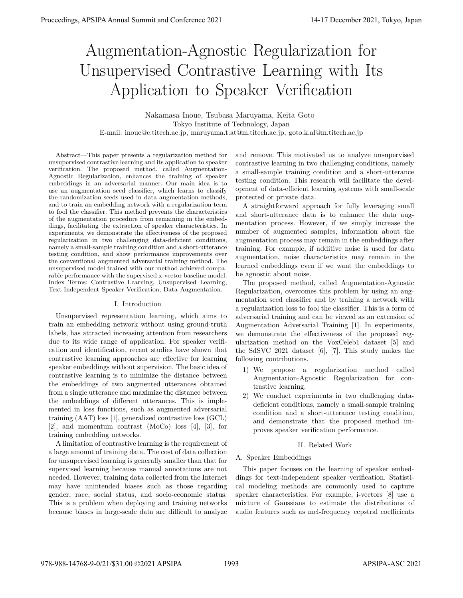# Augmentation-Agnostic Regularization for Unsupervised Contrastive Learning with Its Application to Speaker Verification

Nakamasa Inoue, Tsubasa Maruyama, Keita Goto Tokyo Institute of Technology, Japan E-mail: inoue@c.titech.ac.jp, maruyama.t.at@m.titech.ac.jp, goto.k.al@m.titech.ac.jp

Abstract—This paper presents a regularization method for unsupervised contrastive learning and its application to speaker verification. The proposed method, called Augmentation-Agnostic Regularization, enhances the training of speaker embeddings in an adversarial manner. Our main idea is to use an augmentation seed classifier, which learns to classify the randomization seeds used in data augmentation methods, and to train an embedding network with a regularization term to fool the classifier. This method prevents the characteristics of the augmentation procedure from remaining in the embeddings, facilitating the extraction of speaker characteristics. In experiments, we demonstrate the effectiveness of the proposed regularization in two challenging data-deficient conditions, namely a small-sample training condition and a short-utterance testing condition, and show performance improvements over the conventional augmented adversarial training method. The unsupervised model trained with our method achieved comparable performance with the supervised x-vector baseline model. Index Terms: Contrastive Learning, Unsupervised Learning, Text-Independent Speaker Verification, Data Augmentation.

### I. Introduction

Unsupervised representation learning, which aims to train an embedding network without using ground-truth labels, has attracted increasing attention from researchers due to its wide range of application. For speaker verification and identification, recent studies have shown that contrastive learning approaches are effective for learning speaker embeddings without supervision. The basic idea of contrastive learning is to minimize the distance between the embeddings of two augmented utterances obtained from a single utterance and maximize the distance between the embeddings of different utterances. This is implemented in loss functions, such as augmented adversarial training (AAT) loss [1], generalized contrastive loss (GCL) [2], and momentum contrast (MoCo) loss [4], [3], for training embedding networks.

A limitation of contrastive learning is the requirement of a large amount of training data. The cost of data collection for unsupervised learning is generally smaller than that for supervised learning because manual annotations are not needed. However, training data collected from the Internet may have unintended biases such as those regarding gender, race, social status, and socio-economic status. This is a problem when deploying and training networks because biases in large-scale data are difficult to analyze

and remove. This motivated us to analyze unsupervised contrastive learning in two challenging conditions, namely a small-sample training condition and a short-utterance testing condition. This research will facilitate the development of data-efficient learning systems with small-scale protected or private data.

A straightforward approach for fully leveraging small and short-utterance data is to enhance the data augmentation process. However, if we simply increase the number of augmented samples, information about the augmentation process may remain in the embeddings after training. For example, if additive noise is used for data augmentation, noise characteristics may remain in the learned embeddings even if we want the embeddings to be agnostic about noise.

The proposed method, called Augmentation-Agnostic Regularization, overcomes this problem by using an augmentation seed classifier and by training a network with a regularization loss to fool the classifier. This is a form of adversarial training and can be viewed as an extension of Augmentation Adversarial Training [1]. In experiments, we demonstrate the effectiveness of the proposed regularization method on the VoxCeleb1 dataset [5] and the SdSVC 2021 dataset [6], [7]. This study makes the following contributions.

- 1) We propose a regularization method called Augmentation-Agnostic Regularization for contrastive learning.
- 2) We conduct experiments in two challenging datadeficient conditions, namely a small-sample training condition and a short-utterance testing condition, and demonstrate that the proposed method improves speaker verification performance.

# II. Related Work

# A. Speaker Embeddings

This paper focuses on the learning of speaker embeddings for text-independent speaker verification. Statistical modeling methods are commonly used to capture speaker characteristics. For example, i-vectors [8] use a mixture of Gaussians to estimate the distributions of audio features such as mel-frequency cepstral coefficients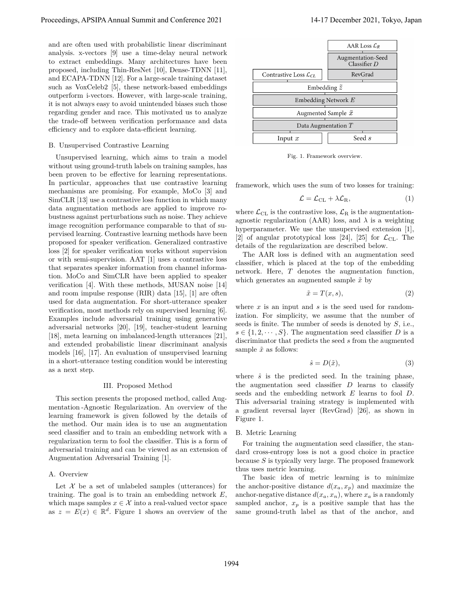and are often used with probabilistic linear discriminant analysis. x-vectors [9] use a time-delay neural network to extract embeddings. Many architectures have been proposed, including Thin-ResNet [10], Dense-TDNN [11], and ECAPA-TDNN [12]. For a large-scale training dataset such as VoxCeleb2 [5], these network-based embeddings outperform i-vectors. However, with large-scale training, it is not always easy to avoid unintended biases such those regarding gender and race. This motivated us to analyze the trade-off between verification performance and data efficiency and to explore data-efficient learning.

# B. Unsupervised Contrastive Learning

Unsupervised learning, which aims to train a model without using ground-truth labels on training samples, has been proven to be effective for learning representations. In particular, approaches that use contrastive learning mechanisms are promising. For example, MoCo [3] and SimCLR [13] use a contrastive loss function in which many data augmentation methods are applied to improve robustness against perturbations such as noise. They achieve image recognition performance comparable to that of supervised learning. Contrastive learning methods have been proposed for speaker verification. Generalized contrastive loss [2] for speaker verification works without supervision or with semi-supervision. AAT [1] uses a contrastive loss that separates speaker information from channel information. MoCo and SimCLR have been applied to speaker verification [4]. With these methods, MUSAN noise [14] and room impulse response (RIR) data [15], [1] are often used for data augmentation. For short-utterance speaker verification, most methods rely on supervised learning [6]. Examples include adversarial training using generative adversarial networks [20], [19], teacher-student learning [18], meta learning on imbalanced-length utterances [21], and extended probabilistic linear discriminant analysis models [16], [17]. An evaluation of unsupervised learning in a short-utterance testing condition would be interesting as a next step.

#### III. Proposed Method

This section presents the proposed method, called Augmentation -Agnostic Regularization. An overview of the learning framework is given followed by the details of the method. Our main idea is to use an augmentation seed classifier and to train an embedding network with a regularization term to fool the classifier. This is a form of adversarial training and can be viewed as an extension of Augmentation Adversarial Training [1].

## A. Overview

Let  $X$  be a set of unlabeled samples (utterances) for training. The goal is to train an embedding network *E*, which maps samples  $x \in \mathcal{X}$  into a real-valued vector space as  $z = E(x) \in \mathbb{R}^d$ . Figure 1 shows an overview of the



Fig. 1. Framework overview.

framework, which uses the sum of two losses for training:

$$
\mathcal{L} = \mathcal{L}_{\text{CL}} + \lambda \mathcal{L}_{\text{R}},\tag{1}
$$

where  $\mathcal{L}_{\text{CL}}$  is the contrastive loss,  $\mathcal{L}_{\text{R}}$  is the augmentationagnostic regularization (AAR) loss, and  $\lambda$  is a weighting hyperparameter. We use the unsupervised extension [1], [2] of angular prototypical loss [24], [25] for  $\mathcal{L}_{\text{CL}}$ . The details of the regularization are described below.

The AAR loss is defined with an augmentation seed classifier, which is placed at the top of the embedding network. Here, *T* denotes the augmentation function, which generates an augmented sample  $\tilde{x}$  by

$$
\tilde{x} = T(x, s),\tag{2}
$$

where *x* is an input and *s* is the seed used for randomization. For simplicity, we assume that the number of seeds is finite. The number of seeds is denoted by *S*, i.e.,  $s \in \{1, 2, \dots, S\}$ . The augmentation seed classifier *D* is a discriminator that predicts the seed *s* from the augmented sample  $\tilde{x}$  as follows:

$$
\hat{s} = D(\tilde{x}),\tag{3}
$$

where  $\hat{s}$  is the predicted seed. In the training phase, the augmentation seed classifier *D* learns to classify seeds and the embedding network *E* learns to fool *D*. This adversarial training strategy is implemented with a gradient reversal layer (RevGrad) [26], as shown in Figure 1.

## B. Metric Learning

For training the augmentation seed classifier, the standard cross-entropy loss is not a good choice in practice because *S* is typically very large. The proposed framework thus uses metric learning.

The basic idea of metric learning is to minimize the anchor-positive distance  $d(x_a, x_p)$  and maximize the anchor-negative distance  $d(x_a, x_n)$ , where  $x_a$  is a randomly sampled anchor,  $x_p$  is a positive sample that has the same ground-truth label as that of the anchor, and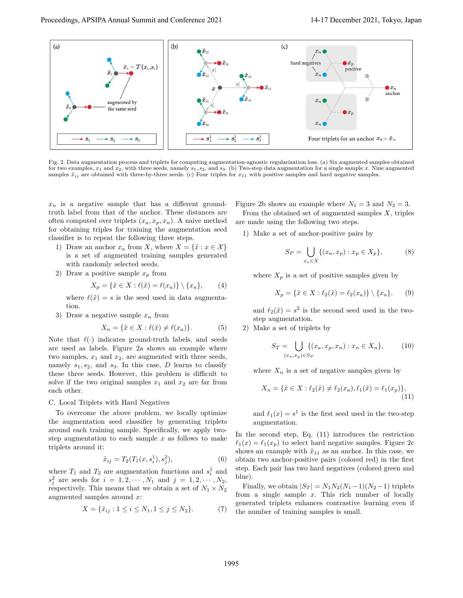

Fig. 2. Data augmentation process and triplets for computing augmentation-agnostic regularization loss. (a) Six augmented samples obtained for two examples, *x*<sup>1</sup> and *x*2, with three seeds, namely *s*1*, s*2*,* and *s*3. (b) Two-step data augmentation for a single sample *x*. Nine augmented samples  $\tilde{x}_{ij}$  are obtained with three-by-three seeds. (c) Four triples for  $x_{11}$  with positive samples and hard negative samples.

 $x_n$  is a negative sample that has a different groundtruth label from that of the anchor. These distances are often computed over triplets  $(x_a, x_p, x_n)$ . A naive method for obtaining triples for training the augmentation seed classifier is to repeat the following three steps.

- 1) Draw an anchor  $x_a$  from *X*, where  $X = \{\tilde{x} : x \in \mathcal{X}\}\$ is a set of augmented training samples generated with randomly selected seeds.
- 2) Draw a positive sample  $x_p$  from

$$
X_p = \{ \tilde{x} \in X : \ell(\tilde{x}) = \ell(x_a) \} \setminus \{x_a\}, \qquad (4)
$$

where  $\ell(\tilde{x}) = s$  is the seed used in data augmentation.

3) Draw a negative sample  $x_n$  from

$$
X_n = \{ \tilde{x} \in X : \ell(\tilde{x}) \neq \ell(x_a) \}. \tag{5}
$$

Note that  $\ell(\cdot)$  indicates ground-truth labels, and seeds are used as labels. Figure 2a shows an example where two samples,  $x_1$  and  $x_2$ , are augmented with three seeds, namely  $s_1, s_2$ , and  $s_3$ . In this case, *D* learns to classify these three seeds. However, this problem is difficult to solve if the two original samples  $x_1$  and  $x_2$  are far from each other.

# C. Local Triplets with Hard Negatives

To overcome the above problem, we locally optimize the augmentation seed classifier by generating triplets around each training sample. Specifically, we apply twostep augmentation to each sample *x* as follows to make triplets around it:

$$
\tilde{x}_{ij} = T_2(T_1(x, s_i^1), s_j^2),\tag{6}
$$

where  $T_1$  and  $T_2$  are augmentation functions and  $s_i^1$  and  $s_j^2$  are seeds for  $i = 1, 2, \cdots, N_1$  and  $j = 1, 2, \cdots, N_2$ , respectively. This means that we obtain a set of  $N_1 \times N_2$ augmented samples around *x*:

$$
X = \{ \tilde{x}_{ij} : 1 \le i \le N_1, 1 \le j \le N_2 \}. \tag{7}
$$

Figure 2b shows an example where  $N_1 = 3$  and  $N_2 = 3$ .

From the obtained set of augmented samples *X*, triples are made using the following two steps.

1) Make a set of anchor-positive pairs by

$$
S_P = \bigcup_{x_a \in X} \{ (x_a, x_p) : x_p \in X_p \},\tag{8}
$$

where  $X_p$  is a set of positive samples given by

$$
X_p = \{ \tilde{x} \in X : \ell_2(\tilde{x}) = \ell_2(x_a) \} \setminus \{x_a\}, \qquad (9)
$$

and  $\ell_2(\tilde{x}) = s^2$  is the second seed used in the twostep augmentation.

2) Make a set of triplets by

$$
S_T = \bigcup_{(x_a, x_p) \in S_P} \{ (x_a, x_p, x_n) : x_n \in X_n \},\tag{10}
$$

where  $X_n$  is a set of negative samples given by

$$
X_n = \{ \tilde{x} \in X : \ell_2(\tilde{x}) \neq \ell_2(x_a), \ell_1(\tilde{x}) = \ell_1(x_p) \},\tag{11}
$$

and  $\ell_1(x) = s^1$  is the first seed used in the two-step augmentation.

In the second step, Eq. (11) introduces the restriction  $\ell_1(x) = \ell_1(x_p)$  to select hard negative samples. Figure 2c shows an example with  $\tilde{x}_{11}$  as an anchor. In this case, we obtain two anchor-positive pairs (colored red) in the first step. Each pair has two hard negatives (colored green and blue).

Finally, we obtain  $|S_T| = N_1 N_2 (N_1 - 1)(N_2 - 1)$  triplets from a single sample *x*. This rich number of locally generated triplets enhances contrastive learning even if the number of training samples is small.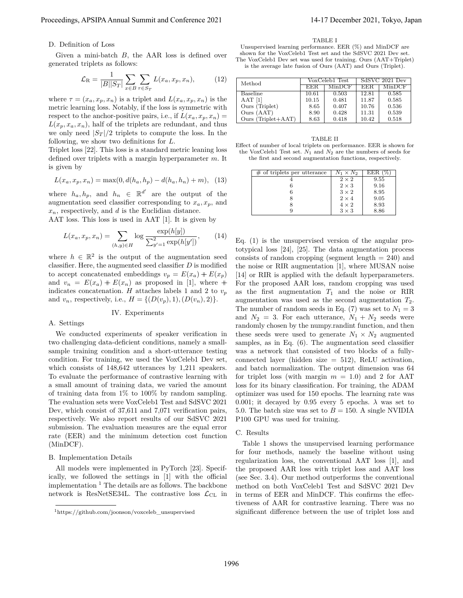## D. Definition of Loss

Given a mini-batch *B*, the AAR loss is defined over generated triplets as follows:

$$
\mathcal{L}_{\mathrm{R}} = \frac{1}{|B||S_T|} \sum_{x \in B} \sum_{\tau \in S_T} L(x_a, x_p, x_n), \tag{12}
$$

where  $\tau = (x_a, x_p, x_n)$  is a triplet and  $L(x_a, x_p, x_n)$  is the metric learning loss. Notably, if the loss is symmetric with respect to the anchor-positive pairs, i.e., if  $L(x_a, x_p, x_n) =$  $L(x_p, x_a, x_n)$ , half of the triplets are redundant, and thus we only need  $|S_T|/2$  triplets to compute the loss. In the following, we show two definitions for *L*.

Triplet loss [22]. This loss is a standard metric leaning loss defined over triplets with a margin hyperparameter *m*. It is given by

$$
L(x_a, x_p, x_n) = \max(0, d(h_a, h_p) - d(h_a, h_n) + m), \tag{13}
$$

where  $h_a, h_p,$  and  $h_n \in \mathbb{R}^{d'}$  are the output of the augmentation seed classifier corresponding to  $x_a, x_p$ , and *xn*, respectively, and *d* is the Euclidian distance.

AAT loss. This loss is used in AAT [1]. It is given by

$$
L(x_a, x_p, x_n) = \sum_{(h,y)\in H} \log \frac{\exp(h[y])}{\sum_{y'=1}^2 \exp(h[y'])},\qquad(14)
$$

where  $h \in \mathbb{R}^2$  is the output of the augmentation seed classifier. Here, the augmented seed classifier *D* is modified to accept concatenated embeddings  $v_p = E(x_a) + E(x_p)$ and  $v_n = E(x_a) + E(x_n)$  as proposed in [1], where + indicates concatenation. *H* attaches labels 1 and 2 to  $v_p$ and  $v_n$ , respectively, i.e.,  $H = \{(D(v_n), 1), (D(v_n), 2)\}.$ 

## IV. Experiments

# A. Settings

We conducted experiments of speaker verification in two challenging data-deficient conditions, namely a smallsample training condition and a short-utterance testing condition. For training, we used the VoxCeleb1 Dev set, which consists of  $148,642$  utterances by 1,211 speakers. To evaluate the performance of contrastive learning with a small amount of training data, we varied the amount of training data from 1% to 100% by random sampling. The evaluation sets were VoxCeleb1 Test and SdSVC 2021 Dev, which consist of 37,611 and 7,071 verification pairs, respectively. We also report results of our SdSVC 2021 submission. The evaluation measures are the equal error rate (EER) and the minimum detection cost function (MinDCF).

## B. Implementation Details

All models were implemented in PyTorch [23]. Specifically, we followed the settings in [1] with the official implementation  $<sup>1</sup>$  The details are as follows. The backbone</sup> network is ResNetSE34L. The contrastive loss  $\mathcal{L}_{CL}$  in

#### Unsupervised learning performance. EER (%) and MinDCF are shown for the VoxCeleb1 Test set and the SdSVC 2021 Dev set. The VoxCeleb1 Dev set was used for training. Ours (AAT+Triplet) is the average late fusion of Ours (AAT) and Ours (Triplet).

TABLE I

| Method               |       | VoxCeleb1 Test | SdSVC 2021 Dev |        |  |
|----------------------|-------|----------------|----------------|--------|--|
|                      | EER.  | MinDCF         | EER.           | MinDCF |  |
| Baseline             | 10.61 | 0.503          | 12.81          | 0.585  |  |
| $AAT$ [1]            | 10.15 | 0.481          | 11.87          | 0.585  |  |
| Ours (Triplet)       | 8.65  | 0.407          | 10.76          | 0.536  |  |
| Ours (AAT)           | 8.90  | 0.428          | 11.31          | 0.539  |  |
| Ours $(Triplet+AAT)$ | 8.63  | 0.418          | 10.42          | 0.518  |  |

TABLE II Effect of number of local triplets on performance. EER is shown for the VoxCeleb1 Test set. *N*<sup>1</sup> and *N*<sup>2</sup> are the numbers of seeds for the first and second augmentation functions, respectively.

| $#$ of triplets per utterance | $N_1 \times N_2$ | EER (% |
|-------------------------------|------------------|--------|
|                               | $2 \times 2$     | 9.55   |
|                               | $2 \times 3$     | 9.16   |
|                               | $3 \times 2$     | 8.95   |
|                               | $2 \times 4$     | 9.05   |
|                               | $4 \times 2$     | 8.93   |
|                               | $3 \times 3$     | 8.86   |

Eq. (1) is the unsupervised version of the angular prototypical loss [24], [25]. The data augmentation process consists of random cropping (segment length  $= 240$ ) and the noise or RIR augmentation [1], where MUSAN noise [14] or RIR is applied with the default hyperparameters. For the proposed AAR loss, random cropping was used as the first augmentation  $T_1$  and the noise or RIR augmentation was used as the second augmentation *T*2. The number of random seeds in Eq. (7) was set to  $N_1 = 3$ and  $N_2 = 3$ . For each utterance,  $N_1 + N_2$  seeds were randomly chosen by the numpy.randint function, and then these seeds were used to generate  $N_1 \times N_2$  augmented samples, as in Eq. (6). The augmentation seed classifier was a network that consisted of two blocks of a fullyconnected layer (hidden size  $= 512$ ), ReLU activation, and batch normalization. The output dimension was 64 for triplet loss (with margin  $m = 1.0$ ) and 2 for AAT loss for its binary classification. For training, the ADAM optimizer was used for 150 epochs. The learning rate was 0.001; it decayed by 0.95 every 5 epochs.  $\lambda$  was set to 5.0. The batch size was set to  $B = 150$ . A single NVIDIA P100 GPU was used for training.

#### C. Results

Table 1 shows the unsupervised learning performance for four methods, namely the baseline without using regularization loss, the conventional AAT loss [1], and the proposed AAR loss with triplet loss and AAT loss (see Sec. 3.4). Our method outperforms the conventional method on both VoxCeleb1 Test and SdSVC 2021 Dev in terms of EER and MinDCF. This confirms the effectiveness of AAR for contrastive learning. There was no significant difference between the use of triplet loss and

<sup>1</sup>https://github.com/joonson/voxceleb\_unsupervised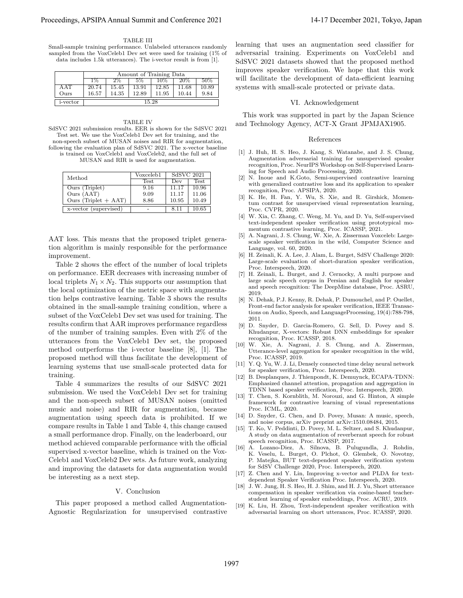TABLE III

Small-sample training performance. Unlabeled utterances randomly sampled from the VoxCeleb1 Dev set were used for training (1% of data includes 1.5k utterances). The i-vector result is from [1].

|                  | Amount of Training Data |       |       |       |       |        |
|------------------|-------------------------|-------|-------|-------|-------|--------|
|                  | $1\%$                   | $2\%$ | 5%    | 10%   | 20%   | $50\%$ |
| A AT             | 20.74                   | 15.45 | 13.91 | 12.85 | 11.68 | 10.89  |
| Ours             | 16.57                   | 14.35 | 12.89 | 11.95 | 10.44 | 9.84   |
| <i>i</i> -vector | 15.28                   |       |       |       |       |        |

TABLE IV SdSVC 2021 submission results. EER is shown for the SdSVC 2021 Test set. We use the VoxCeleb1 Dev set for training, and the non-speech subset of MUSAN noises and RIR for augmentation, following the evaluation plan of SdSVC 2021. The x-vector baseline is trained on VoxCeleb1 and VoxCeleb2, and the full set of MUSAN and RIR is used for augmentation.

| Method                             | Voxceleb1   | SdSVC 2021 |             |
|------------------------------------|-------------|------------|-------------|
|                                    | <b>Test</b> | Dev        | <b>Test</b> |
| $\overline{\text{Ours}}$ (Triplet) | 9.16        | 11.17      | 10.96       |
| Ours (AAT)                         | 9.09        | 11.17      | 11.06       |
| Ours (Triplet $+$ AAT)             | 8.86        | 10.95      | 10.49       |
| x-vector (supervised)              |             | 8.11       | 10.65       |

AAT loss. This means that the proposed triplet generation algorithm is mainly responsible for the performance improvement.

Table 2 shows the effect of the number of local triplets on performance. EER decreases with increasing number of local triplets  $N_1 \times N_2$ . This supports our assumption that the local optimization of the metric space with augmentation helps contrastive learning. Table 3 shows the results obtained in the small-sample training condition, where a subset of the VoxCeleb1 Dev set was used for training. The results confirm that AAR improves performance regardless of the number of training samples. Even with 2% of the utterances from the VoxCeleb1 Dev set, the proposed method outperforms the i-vector baseline [8], [1]. The proposed method will thus facilitate the development of learning systems that use small-scale protected data for training.

Table 4 summarizes the results of our SdSVC 2021 submission. We used the VoxCeleb1 Dev set for training and the non-speech subset of MUSAN noises (omitted music and noise) and RIR for augmentation, because augmentation using speech data is prohibited. If we compare results in Table 1 and Table 4, this change caused a small performance drop. Finally, on the leaderboard, our method achieved comparable performance with the official supervised x-vector baseline, which is trained on the Vox-Celeb1 and VoxCeleb2 Dev sets. As future work, analyzing and improving the datasets for data augmentation would be interesting as a next step.

#### V. Conclusion

This paper proposed a method called Augmentation-Agnostic Regularization for unsupervised contrastive learning that uses an augmentation seed classifier for adversarial training. Experiments on VoxCeleb1 and SdSVC 2021 datasets showed that the proposed method improves speaker verification. We hope that this work will facilitate the development of data-efficient learning systems with small-scale protected or private data.

#### VI. Acknowledgement

This work was supported in part by the Japan Science and Technology Agency, ACT-X Grant JPMJAX1905.

#### References

- [1] J. Huh, H. S. Heo, J. Kang, S. Watanabe, and J. S. Chung, Augmentation adversarial training for unsupervised speaker recognition, Proc. NeurIPS Workshop on Self-Supervised Learning for Speech and Audio Processing, 2020.
- [2] N. Inoue and K.Goto, Semi-supervised contrastive learning with generalized contrastive loss and its application to speaker recognition, Proc. APSIPA, 2020.
- [3] K. He, H. Fan, Y. Wu, S. Xie, and R. Girshick, Momentum contrast for unsupervised visual representation learning, Proc. CVPR, 2020.
- [4] W. Xia, C. Zhang, C. Weng, M. Yu, and D. Yu, Self-supervised text-independent speaker verification using prototypical momentum contrastive learning, Proc. ICASSP, 2021.
- [5] A. Nagrani, J. S. Chung, W. Xie, A. Zisserman Voxceleb: Largescale speaker verification in the wild, Computer Science and Language, vol. 60, 2020.
- [6] H. Zeinali, K. A. Lee, J. Alam, L. Burget, SdSV Challenge 2020: Large-scale evaluation of short-duration speaker verification, Proc. Interspeech, 2020.
- [7] H. Zeinali, L. Burget, and J. Cernocky, A multi purpose and large scale speech corpus in Persian and English for speaker and speech recognition: The DeepMine database, Proc. ASRU, 2019.
- [8] N. Dehak, P.J. Kenny, R. Dehak, P. Dumouchel, and P. Ouellet, Front-end factor analysis for speaker verification, IEEE Transactions on Audio, Speech, and LanguageProcessing, 19(4):788-798, 2011.
- [9] D. Snyder, D. Garcia-Romero, G. Sell, D. Povey and S. Khudanpur, X-vectors: Robust DNN embeddings for speaker recognition, Proc. ICASSP, 2018.
- [10] W. Xie, A. Nagrani, J. S. Chung, and A. Zisserman, Utterance-level aggregation for speaker recognition in the wild, Proc. ICASSP, 2019.
- [11] Y. Q. Yu, W. J. Li, Densely connected time delay neural network for speaker verification, Proc. Interspeech, 2020.
- [12] B. Desplanques, J. Thienpondt, K. Demuynck, ECAPA-TDNN: Emphasized channel attention, propagation and aggregation in TDNN based speaker verification, Proc. Interspeech, 2020.
- [13] T. Chen, S. Kornblith, M. Norouzi, and G. Hinton, A simple framework for contrastive learning of visual representations Proc. ICML, 2020.
- [14] D. Snyder, G. Chen, and D. Povey, Musan: A music, speech, and noise corpus, arXiv preprint arXiv:1510.08484, 2015.
- [15] T. Ko, V. Peddinti, D. Povey, M. L. Seltzer, and S. Khudanpur, A study on data augmentation of reverberant speech for robust speech recognition, Proc. ICASSP, 2017.
- [16] A. Lozano-Diez, A. Silnova, B. Pulugundla, J. Rohdin, K. Veselu, L. Burget, O. Plchot, O. Glembek, O. Novotny, P. Matejka, BUT text-dependent speaker verification system for SdSV Challenge 2020, Proc. Interspeech, 2020.
- [17] Z. Chen and Y. Lin, Improving x-vector and PLDA for textdependent Speaker Verification Proc. Interspeech, 2020.
- [18] J. W. Jung, H. S. Heo, H. J. Shim, and H. J. Yu, Short utterance compensation in speaker verification via cosine-based teacherstudent learning of speaker embeddings, Proc. ACRU, 2019.
- [19] K. Liu, H. Zhou, Text-independent speaker verification with adversarial learning on short utterances, Proc. ICASSP, 2020.